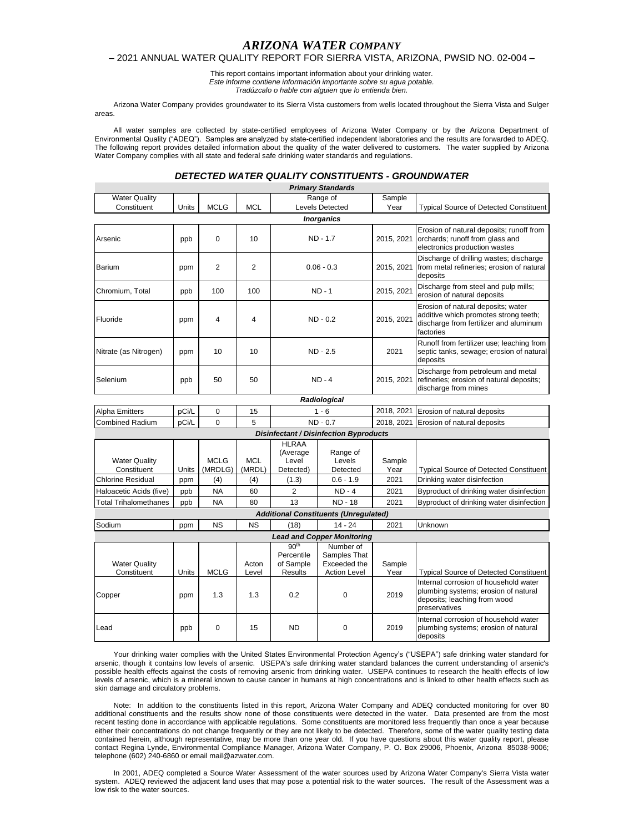# *ARIZONA WATER COMPANY*

#### – 2021 ANNUAL WATER QUALITY REPORT FOR SIERRA VISTA, ARIZONA, PWSID NO. 02-004 –

This report contains important information about your drinking water. *Este informe contiene información importante sobre su agua potable. Tradúzcalo o hable con alguien que lo entienda bien.*

Arizona Water Company provides groundwater to its Sierra Vista customers from wells located throughout the Sierra Vista and Sulger areas.

All water samples are collected by state-certified employees of Arizona Water Company or by the Arizona Department of Environmental Quality ("ADEQ"). Samples are analyzed by state-certified independent laboratories and the results are forwarded to ADEQ. The following report provides detailed information about the quality of the water delivered to customers. The water supplied by Arizona Water Company complies with all state and federal safe drinking water standards and regulations.

# *DETECTED WATER QUALITY CONSTITUENTS - GROUNDWATER*

|                                               |                                         |                        |                      |                                                               | <b>Primary Standards</b>                                         |                |                                                                                                                                    |  |  |
|-----------------------------------------------|-----------------------------------------|------------------------|----------------------|---------------------------------------------------------------|------------------------------------------------------------------|----------------|------------------------------------------------------------------------------------------------------------------------------------|--|--|
| <b>Water Quality</b>                          |                                         |                        |                      |                                                               | Range of                                                         | Sample         |                                                                                                                                    |  |  |
| Constituent                                   | <b>Units</b>                            | <b>MCLG</b>            | <b>MCL</b>           |                                                               | <b>Levels Detected</b>                                           | Year           | <b>Typical Source of Detected Constituent</b>                                                                                      |  |  |
| <b>Inorganics</b>                             |                                         |                        |                      |                                                               |                                                                  |                |                                                                                                                                    |  |  |
| Arsenic                                       | ppb                                     | $\Omega$               | 10                   | ND - 1.7                                                      |                                                                  | 2015, 2021     | Erosion of natural deposits; runoff from<br>orchards; runoff from glass and<br>electronics production wastes                       |  |  |
| Barium                                        | ppm                                     | 2                      | 2                    | $0.06 - 0.3$                                                  |                                                                  | 2015, 2021     | Discharge of drilling wastes; discharge<br>from metal refineries; erosion of natural<br>deposits                                   |  |  |
| Chromium, Total                               | ppb                                     | 100                    | 100                  | $ND - 1$                                                      |                                                                  | 2015, 2021     | Discharge from steel and pulp mills;<br>erosion of natural deposits                                                                |  |  |
| Fluoride                                      | ppm                                     | 4                      | 4                    | $ND - 0.2$                                                    |                                                                  | 2015, 2021     | Erosion of natural deposits; water<br>additive which promotes strong teeth;<br>discharge from fertilizer and aluminum<br>factories |  |  |
| Nitrate (as Nitrogen)                         | ppm                                     | 10                     | 10                   | ND - 2.5                                                      |                                                                  | 2021           | Runoff from fertilizer use; leaching from<br>septic tanks, sewage; erosion of natural<br>deposits                                  |  |  |
| Selenium                                      | ppb                                     | 50                     | 50                   | $ND - 4$                                                      |                                                                  | 2015, 2021     | Discharge from petroleum and metal<br>refineries; erosion of natural deposits;<br>discharge from mines                             |  |  |
|                                               |                                         |                        |                      |                                                               | Radiological                                                     |                |                                                                                                                                    |  |  |
| <b>Alpha Emitters</b>                         | pCi/L                                   | 0                      | 15                   |                                                               | $1 - 6$                                                          | 2018, 2021     | Erosion of natural deposits                                                                                                        |  |  |
| <b>Combined Radium</b>                        | pCi/L                                   | $\Omega$               | 5                    |                                                               | $ND - 0.7$                                                       | 2018.2021      | Erosion of natural deposits                                                                                                        |  |  |
| <b>Disinfectant / Disinfection Byproducts</b> |                                         |                        |                      |                                                               |                                                                  |                |                                                                                                                                    |  |  |
|                                               |                                         |                        |                      | <b>HLRAA</b>                                                  |                                                                  |                |                                                                                                                                    |  |  |
| <b>Water Quality</b><br>Constituent           | Units                                   | <b>MCLG</b><br>(MRDLG) | <b>MCL</b><br>(MRDL) | (Average<br>Level<br>Detected)                                | Range of<br>Levels<br>Detected                                   | Sample<br>Year | <b>Typical Source of Detected Constituent</b>                                                                                      |  |  |
| <b>Chlorine Residual</b>                      | ppm                                     | (4)                    | (4)                  | (1.3)                                                         | $0.6 - 1.9$                                                      | 2021           | Drinking water disinfection                                                                                                        |  |  |
| Haloacetic Acids (five)                       | <b>NA</b><br>2<br>60<br>$ND - 4$<br>ppb |                        |                      | 2021                                                          | Byproduct of drinking water disinfection                         |                |                                                                                                                                    |  |  |
| <b>Total Trihalomethanes</b>                  | ppb                                     | <b>NA</b>              | 80                   | 13                                                            | <b>ND - 18</b>                                                   | 2021           | Byproduct of drinking water disinfection                                                                                           |  |  |
|                                               |                                         |                        |                      |                                                               | <b>Additional Constituents (Unregulated)</b>                     |                |                                                                                                                                    |  |  |
| Sodium                                        | ppm                                     | <b>NS</b>              | NS                   | (18)                                                          | $14 - 24$                                                        | 2021           | Unknown                                                                                                                            |  |  |
| <b>Lead and Copper Monitoring</b>             |                                         |                        |                      |                                                               |                                                                  |                |                                                                                                                                    |  |  |
| <b>Water Quality</b><br>Constituent           | Units                                   | <b>MCLG</b>            | Acton<br>Level       | 90 <sup>th</sup><br>Percentile<br>of Sample<br><b>Results</b> | Number of<br>Samples That<br>Exceeded the<br><b>Action Level</b> | Sample<br>Year | <b>Typical Source of Detected Constituent</b>                                                                                      |  |  |
| Copper                                        | ppm                                     | 1.3                    | 1.3                  | 0.2                                                           | $\Omega$                                                         | 2019           | Internal corrosion of household water<br>plumbing systems; erosion of natural<br>deposits; leaching from wood<br>preservatives     |  |  |
| Lead                                          | ppb                                     | $\Omega$               | 15                   | $\Omega$<br><b>ND</b>                                         |                                                                  | 2019           | Internal corrosion of household water<br>plumbing systems; erosion of natural<br>deposits                                          |  |  |

Your drinking water complies with the United States Environmental Protection Agency's ("USEPA") safe drinking water standard for arsenic, though it contains low levels of arsenic. USEPA's safe drinking water standard balances the current understanding of arsenic's possible health effects against the costs of removing arsenic from drinking water. USEPA continues to research the health effects of low levels of arsenic, which is a mineral known to cause cancer in humans at high concentrations and is linked to other health effects such as skin damage and circulatory problems.

Note: In addition to the constituents listed in this report, Arizona Water Company and ADEQ conducted monitoring for over 80 additional constituents and the results show none of those constituents were detected in the water. Data presented are from the most recent testing done in accordance with applicable regulations. Some constituents are monitored less frequently than once a year because either their concentrations do not change frequently or they are not likely to be detected. Therefore, some of the water quality testing data contained herein, although representative, may be more than one year old. If you have questions about this water quality report, please contact Regina Lynde, Environmental Compliance Manager, Arizona Water Company, P. O. Box 29006, Phoenix, Arizona 85038-9006; telephone (602) 240-6860 or email mail@azwater.com.

In 2001, ADEQ completed a Source Water Assessment of the water sources used by Arizona Water Company's Sierra Vista water system. ADEQ reviewed the adjacent land uses that may pose a potential risk to the water sources. The result of the Assessment was a low risk to the water sources.